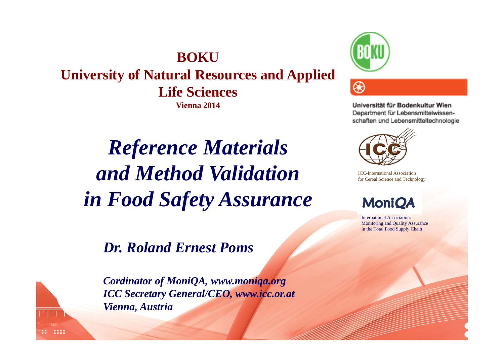**BOKUUniversity of Natural Resources and Applied Life Sciences Vienna 2014**

*Reference Materials and Method Validation in Food Safety Assurance*

*Dr. Roland Ernest Poms*

18888

*Cordinator of MoniQA, www.moniqa.org ICC Secretary General/CEO, www.icc.or.at Vienna, Austria*



Universität für Bodenkultur Wien Department für Lebensmittelwissenschaften und Lebensmitteltechnologie



ICC-International Association for Cereal Science and Technology

**MoniQA** 

International Association: Monitoring and Quality Assurance in the Total Food Supply Chain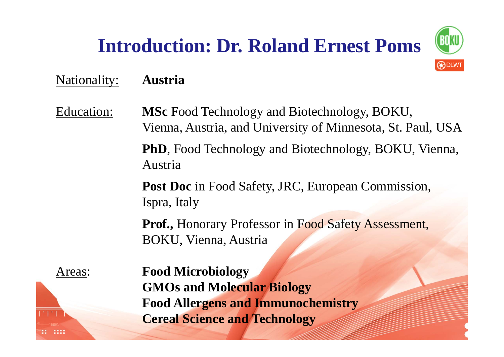# **Introduction: Dr. Roland Ernest Poms**



### Nationality: **Austria**

Education: **MSc** Food Technology and Biotechnology, BOKU, Vienna, Austria, and University of Minnesota, St. Paul, USA **PhD**, Food Technology and Biotechnology, BOKU, Vienna, Austria

> **Post Doc** in Food Safety, JRC, European Commission, Ispra, Italy

Prof., Honorary Professor in Food Safety Assessment, BOKU, Vienna, Austria

Areas: **Food Microbiology GMOs and Molecular Biology Food Allergens and Immunochemistry Cereal Science and Technology**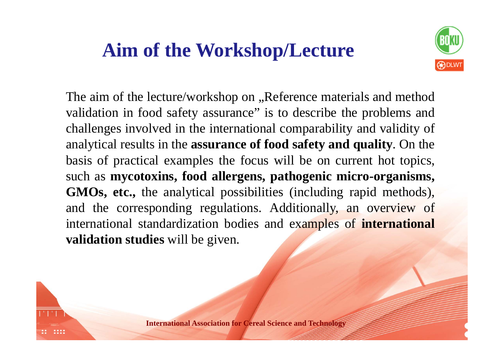### **Aim of the Workshop/Lecture**



The aim of the lecture/workshop on , Reference materials and method validation in food safety assurance" is to describe the problems and challenges involved in the international comparability and validity of analytical results in the **assurance of food safety and quality**. On the basis of practical examples the focus will be on current hot topics, such as **mycotoxins, food allergens, pathogenic micro-organisms, GMOs, etc.,** the analytical possibilities (including rapid methods), and the corresponding regulations. Additionally, an overview of international standardization bodies and examples of **international validation studies** will be given.

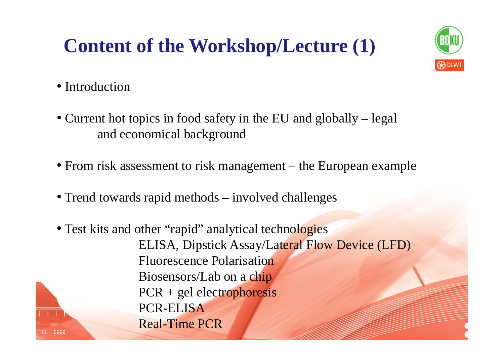### **Content of the Workshop/Lecture (1)**



- Introduction
- Current hot topics in food safety in the EU and globally legal and economical background
- From risk assessment to risk management the European example
- Trend towards rapid methods involved challenges
- Test kits and other "rapid" analytical technologies ELISA, Dipstick Assay/Lateral Flow Device (LFD) Fluorescence Polarisation Biosensors/Lab on a chip PCR + gel electrophoresis PCR-ELISA Real-Time PCR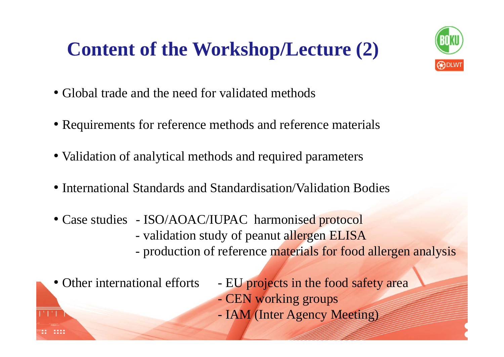### **Content of the Workshop/Lecture (2)**



- Global trade and the need for validated methods
- Requirements for reference methods and reference materials
- Validation of analytical methods and required parameters
- International Standards and Standardisation/Validation Bodies
- Case studies ISO/AOAC/IUPAC harmonised protocol validation study of peanut allergen ELISA production of reference materials for food allergen analysis

• Other international efforts

- EU projects in the food safety area
- CEN working groups
- IAM (Inter Agency Meeting)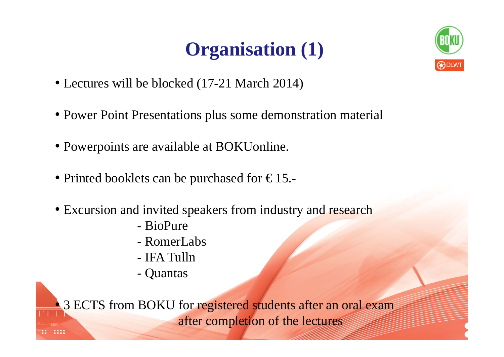# **Organisation (1)**



- Lectures will be blocked (17-21 March 2014)
- Power Point Presentations plus some demonstration material
- Powerpoints are available at BOKUonline.
- Printed booklets can be purchased for  $\epsilon$ 15.
- Excursion and invited speakers from industry and research
	- BioPure
	- RomerLabs
	- IFA Tulln
	- Quantas

• 3 ECTS from BOKU for registered students after an oral exam after completion of the lectures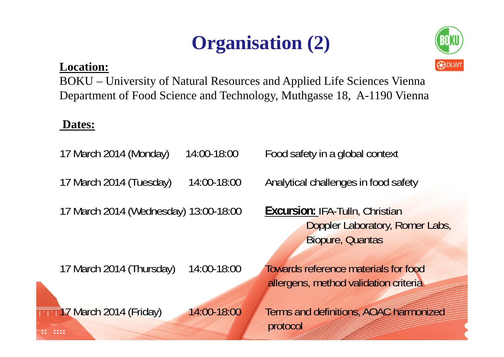## **Organisation (2)**

### **Location: BLWT**



BOKU – University of Natural Resources and Applied Life Sciences Vienna Department of Food Science and Technology, Muthgasse 18, A-1190 Vienna

### **Dates:**

17 March 2014 (Monday) 14:00-18:00 Food safety in a global context 17 March 2014 (Tuesday) 14:00-18:00 Analytical challenges in food safety

17 March 2014 (Wednesday) 13:00-18:00 **Excursion:** IFA-Tulln, Christian

Doppler Laboratory, Romer Labs, Biopure, Quantas

17 March 2014 (Thursday) 14:00-18:00 Towards reference materials for food

allergens, method validation criteria

17 March 2014 (Friday) 14:00-18:00 Terms and definitions, AOAC harmonized protocol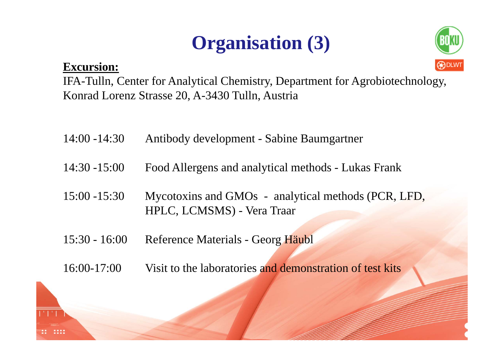## **Organisation (3)**

### **Excursion:**  $\bigcirc$



IFA-Tulln, Center for Analytical Chemistry, Department for Agrobiotechnology, Konrad Lorenz Strasse 20, A-3430 Tulln, Austria

- 14:00 -14:30 Antibody development Sabine Baumgartner
- 14:30 -15:00 Food Allergens and analytical methods Lukas Frank
- 15:00 -15:30 Mycotoxins and GMOs analytical methods (PCR, LFD, HPLC, LCMSMS) - Vera Traar
- 15:30 16:00 Reference Materials Georg Häubl
- 16:00-17:00 Visit to the laboratories and demonstration of test kits

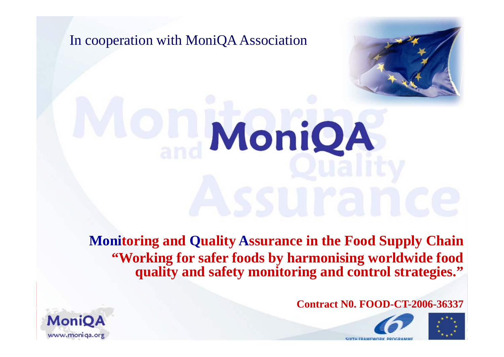



# MoniQA

 $\frac{1}{2}$  and  $\frac{1}{2}$  and  $\frac{1}{2}$  and  $\frac{1}{2}$  and  $\frac{1}{2}$  and  $\frac{1}{2}$  and  $\frac{1}{2}$  and  $\frac{1}{2}$  and  $\frac{1}{2}$  and  $\frac{1}{2}$  and  $\frac{1}{2}$  and  $\frac{1}{2}$  and  $\frac{1}{2}$  and  $\frac{1}{2}$  and  $\frac{1}{2}$  and  $\frac{1}{2}$  a **"Working for safer foods by harmonising worldwide food** " **Monitoring and Quality Assurance in the Food Supply Chain quality and safety monitoring and control strategies."**

**Contract N0. FOOD-CT-2006-36337**





**CIYTH EDAMEWOOK E** 

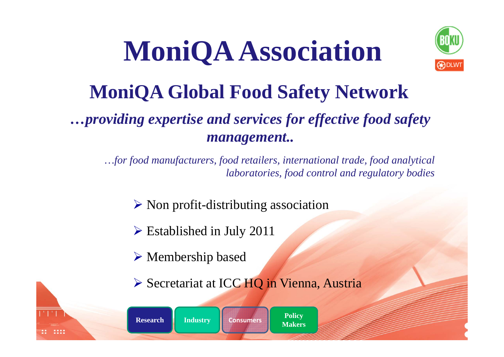# **MoniQA Association**



# **MoniQA Global Food Safety Network**

### *…providing expertise and services for effective food safety management..*

*…for food manufacturers, food retailers, international trade, food analytical laboratories, food control and regulatory bodies*

- $\triangleright$  Non profit-distributing association
- Established in July 2011
- Membership based
- Secretariat at ICC HQ in Vienna, Austria

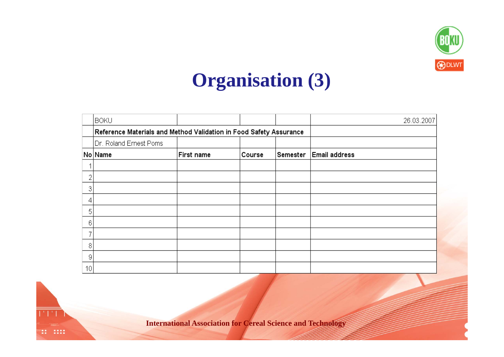

### **Organisation (3)**

|                 | <b>BOKU</b>                                                        |            |        |          | 26.03.2007           |
|-----------------|--------------------------------------------------------------------|------------|--------|----------|----------------------|
|                 | Reference Materials and Method Validation in Food Safety Assurance |            |        |          |                      |
|                 | Dr. Roland Ernest Poms                                             |            |        |          |                      |
|                 | No Name                                                            | First name | Course | Semester | <b>Email address</b> |
|                 |                                                                    |            |        |          |                      |
| 2               |                                                                    |            |        |          |                      |
| 3               |                                                                    |            |        |          |                      |
| 4               |                                                                    |            |        |          |                      |
| 5               |                                                                    |            |        |          |                      |
| 6               |                                                                    |            |        |          |                      |
|                 |                                                                    |            |        |          |                      |
| 8               |                                                                    |            |        |          |                      |
| 9               |                                                                    |            |        |          |                      |
| 10 <sup>1</sup> |                                                                    |            |        |          |                      |



**International Association for Cereal Science and Technology**